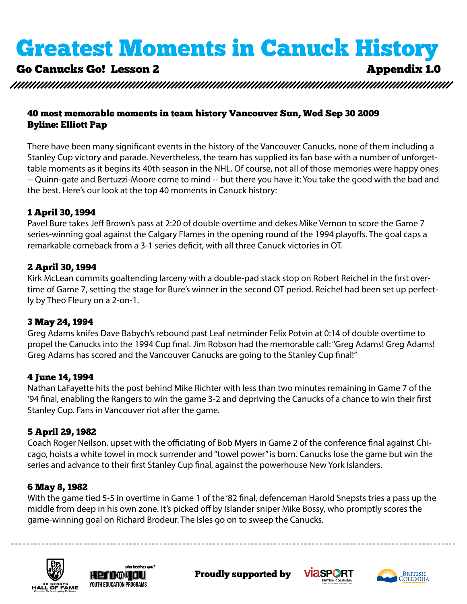# Go Canucks Go! Lesson 2 Appendix 1.0

#### 40 most memorable moments in team history Vancouver Sun, Wed Sep 30 2009 Byline: Elliott Pap

There have been many significant events in the history of the Vancouver Canucks, none of them including a Stanley Cup victory and parade. Nevertheless, the team has supplied its fan base with a number of unforgettable moments as it begins its 40th season in the NHL. Of course, not all of those memories were happy ones -- Quinn-gate and Bertuzzi-Moore come to mind -- but there you have it: You take the good with the bad and the best. Here's our look at the top 40 moments in Canuck history:

#### 1 April 30, 1994

Pavel Bure takes Jeff Brown's pass at 2:20 of double overtime and dekes Mike Vernon to score the Game 7 series-winning goal against the Calgary Flames in the opening round of the 1994 playoffs. The goal caps a remarkable comeback from a 3-1 series deficit, with all three Canuck victories in OT.

### 2 April 30, 1994

Kirk McLean commits goaltending larceny with a double-pad stack stop on Robert Reichel in the first overtime of Game 7, setting the stage for Bure's winner in the second OT period. Reichel had been set up perfectly by Theo Fleury on a 2-on-1.

#### 3 May 24, 1994

Greg Adams knifes Dave Babych's rebound past Leaf netminder Felix Potvin at 0:14 of double overtime to propel the Canucks into the 1994 Cup final. Jim Robson had the memorable call: "Greg Adams! Greg Adams! Greg Adams has scored and the Vancouver Canucks are going to the Stanley Cup final!"

## 4 June 14, 1994

Nathan LaFayette hits the post behind Mike Richter with less than two minutes remaining in Game 7 of the '94 final, enabling the Rangers to win the game 3-2 and depriving the Canucks of a chance to win their first Stanley Cup. Fans in Vancouver riot after the game.

## 5 April 29, 1982

Coach Roger Neilson, upset with the officiating of Bob Myers in Game 2 of the conference final against Chicago, hoists a white towel in mock surrender and "towel power" is born. Canucks lose the game but win the series and advance to their first Stanley Cup final, against the powerhouse New York Islanders.

## 6 May 8, 1982

game-winning goal on Richard Brodeur. The Isles go on to sweep the Canucks. With the game tied 5-5 in overtime in Game 1 of the '82 final, defenceman Harold Snepsts tries a pass up the middle from deep in his own zone. It's picked off by Islander sniper Mike Bossy, who promptly scores the







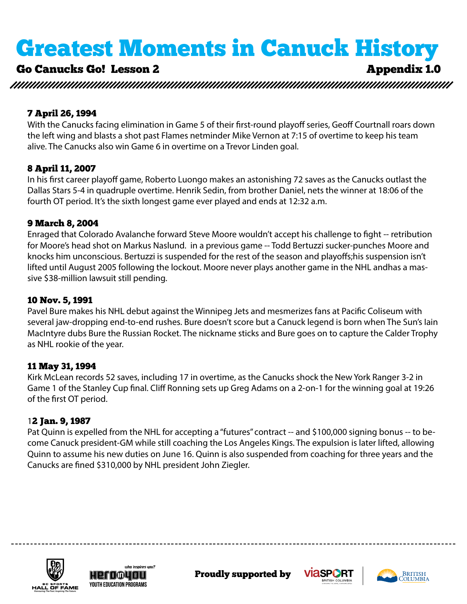# Go Canucks Go! Lesson 2 Appendix 1.0

#### 7 April 26, 1994

With the Canucks facing elimination in Game 5 of their first-round playoff series, Geoff Courtnall roars down the left wing and blasts a shot past Flames netminder Mike Vernon at 7:15 of overtime to keep his team alive. The Canucks also win Game 6 in overtime on a Trevor Linden goal.

#### 8 April 11, 2007

In his first career playoff game, Roberto Luongo makes an astonishing 72 saves as the Canucks outlast the Dallas Stars 5-4 in quadruple overtime. Henrik Sedin, from brother Daniel, nets the winner at 18:06 of the fourth OT period. It's the sixth longest game ever played and ends at 12:32 a.m.

#### 9 March 8, 2004

Enraged that Colorado Avalanche forward Steve Moore wouldn't accept his challenge to fight -- retribution for Moore's head shot on Markus Naslund. in a previous game -- Todd Bertuzzi sucker-punches Moore and knocks him unconscious. Bertuzzi is suspended for the rest of the season and playoffs;his suspension isn't lifted until August 2005 following the lockout. Moore never plays another game in the NHL andhas a massive \$38-million lawsuit still pending.

### 10 Nov. 5, 1991

Pavel Bure makes his NHL debut against the Winnipeg Jets and mesmerizes fans at Pacific Coliseum with several jaw-dropping end-to-end rushes. Bure doesn't score but a Canuck legend is born when The Sun's Iain MacIntyre dubs Bure the Russian Rocket. The nickname sticks and Bure goes on to capture the Calder Trophy as NHL rookie of the year.

#### 11 May 31, 1994

Kirk McLean records 52 saves, including 17 in overtime, as the Canucks shock the New York Ranger 3-2 in Game 1 of the Stanley Cup final. Cliff Ronning sets up Greg Adams on a 2-on-1 for the winning goal at 19:26 of the first OT period.

## 12 Jan. 9, 1987

Pat Quinn is expelled from the NHL for accepting a "futures" contract -- and \$100,000 signing bonus -- to become Canuck president-GM while still coaching the Los Angeles Kings. The expulsion is later lifted, allowing Quinn to assume his new duties on June 16. Quinn is also suspended from coaching for three years and the Canucks are fined \$310,000 by NHL president John Ziegler.







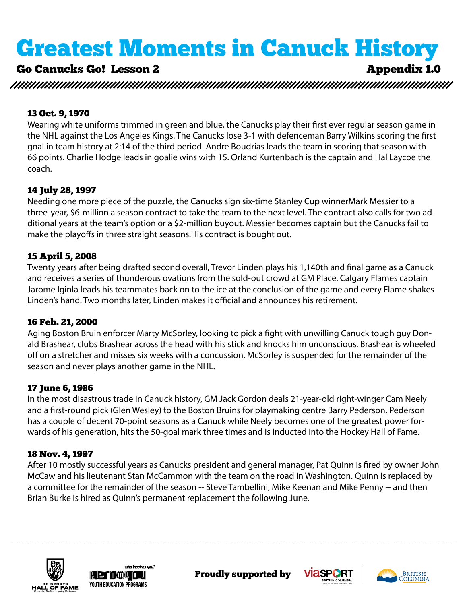# Go Canucks Go! Lesson 2 Appendix 1.0

#### 13 Oct. 9, 1970

Wearing white uniforms trimmed in green and blue, the Canucks play their first ever regular season game in the NHL against the Los Angeles Kings. The Canucks lose 3-1 with defenceman Barry Wilkins scoring the first goal in team history at 2:14 of the third period. Andre Boudrias leads the team in scoring that season with 66 points. Charlie Hodge leads in goalie wins with 15. Orland Kurtenbach is the captain and Hal Laycoe the coach.

## 14 July 28, 1997

Needing one more piece of the puzzle, the Canucks sign six-time Stanley Cup winnerMark Messier to a three-year, \$6-million a season contract to take the team to the next level. The contract also calls for two additional years at the team's option or a \$2-million buyout. Messier becomes captain but the Canucks fail to make the playoffs in three straight seasons.His contract is bought out.

## 15 April 5, 2008

Twenty years after being drafted second overall, Trevor Linden plays his 1,140th and final game as a Canuck and receives a series of thunderous ovations from the sold-out crowd at GM Place. Calgary Flames captain Jarome Iginla leads his teammates back on to the ice at the conclusion of the game and every Flame shakes Linden's hand. Two months later, Linden makes it official and announces his retirement.

#### 16 Feb. 21, 2000

Aging Boston Bruin enforcer Marty McSorley, looking to pick a fight with unwilling Canuck tough guy Donald Brashear, clubs Brashear across the head with his stick and knocks him unconscious. Brashear is wheeled off on a stretcher and misses six weeks with a concussion. McSorley is suspended for the remainder of the season and never plays another game in the NHL.

## 17 June 6, 1986

In the most disastrous trade in Canuck history, GM Jack Gordon deals 21-year-old right-winger Cam Neely and a first-round pick (Glen Wesley) to the Boston Bruins for playmaking centre Barry Pederson. Pederson has a couple of decent 70-point seasons as a Canuck while Neely becomes one of the greatest power forwards of his generation, hits the 50-goal mark three times and is inducted into the Hockey Hall of Fame.

## 18 Nov. 4, 1997

Brian Burke is hired as Quinn's permanent replacement the following June. After 10 mostly successful years as Canucks president and general manager, Pat Quinn is fired by owner John McCaw and his lieutenant Stan McCammon with the team on the road in Washington. Quinn is replaced by a committee for the remainder of the season -- Steve Tambellini, Mike Keenan and Mike Penny -- and then







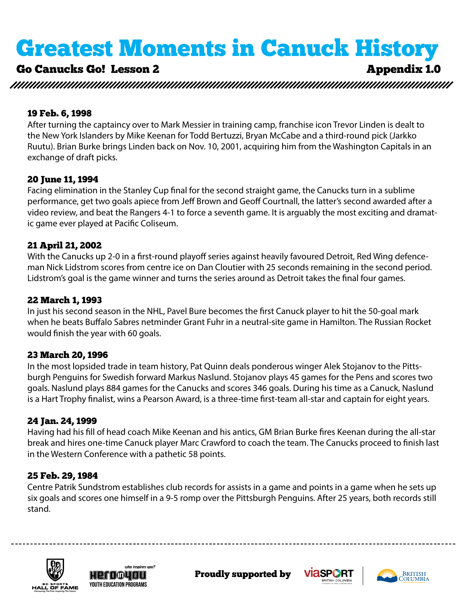# Go Canucks Go! Lesson 2 Appendix 1.0

#### 19 Feb. 6, 1998

After turning the captaincy over to Mark Messier in training camp, franchise icon Trevor Linden is dealt to the New York Islanders by Mike Keenan for Todd Bertuzzi, Bryan McCabe and a third-round pick (Jarkko Ruutu). Brian Burke brings Linden back on Nov. 10, 2001, acquiring him from the Washington Capitals in an exchange of draft picks.

#### 20 June 11, 1994

Facing elimination in the Stanley Cup final for the second straight game, the Canucks turn in a sublime performance, get two goals apiece from Jeff Brown and Geoff Courtnall, the latter's second awarded after a video review, and beat the Rangers 4-1 to force a seventh game. It is arguably the most exciting and dramatic game ever played at Pacific Coliseum.

#### 21 April 21, 2002

With the Canucks up 2-0 in a first-round playoff series against heavily favoured Detroit, Red Wing defenceman Nick Lidstrom scores from centre ice on Dan Cloutier with 25 seconds remaining in the second period. Lidstrom's goal is the game winner and turns the series around as Detroit takes the final four games.

#### 22 March 1, 1993

In just his second season in the NHL, Pavel Bure becomes the first Canuck player to hit the 50-goal mark when he beats Buffalo Sabres netminder Grant Fuhr in a neutral-site game in Hamilton. The Russian Rocket would finish the year with 60 goals.

#### 23 March 20, 1996

In the most lopsided trade in team history, Pat Quinn deals ponderous winger Alek Stojanov to the Pittsburgh Penguins for Swedish forward Markus Naslund. Stojanov plays 45 games for the Pens and scores two goals. Naslund plays 884 games for the Canucks and scores 346 goals. During his time as a Canuck, Naslund is a Hart Trophy finalist, wins a Pearson Award, is a three-time first-team all-star and captain for eight years.

#### 24 Jan. 24, 1999

Having had his fill of head coach Mike Keenan and his antics, GM Brian Burke fires Keenan during the all-star break and hires one-time Canuck player Marc Crawford to coach the team. The Canucks proceed to finish last in the Western Conference with a pathetic 58 points.

#### 25 Feb. 29, 1984

six goals and scores one himself in a 9-5 romp over the Pittsburgh Penguins. After 25 years, both records still Centre Patrik Sundstrom establishes club records for assists in a game and points in a game when he sets up stand.







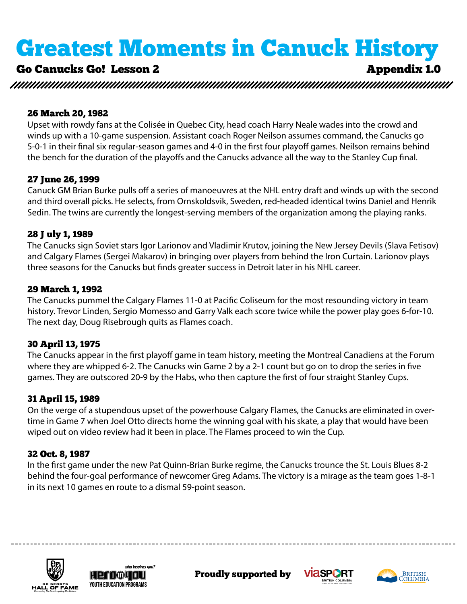# Go Canucks Go! Lesson 2 Appendix 1.0

#### 26 March 20, 1982

Upset with rowdy fans at the Colisée in Quebec City, head coach Harry Neale wades into the crowd and winds up with a 10-game suspension. Assistant coach Roger Neilson assumes command, the Canucks go 5-0-1 in their final six regular-season games and 4-0 in the first four playoff games. Neilson remains behind the bench for the duration of the playoffs and the Canucks advance all the way to the Stanley Cup final.

#### 27 June 26, 1999

Canuck GM Brian Burke pulls off a series of manoeuvres at the NHL entry draft and winds up with the second and third overall picks. He selects, from Ornskoldsvik, Sweden, red-headed identical twins Daniel and Henrik Sedin. The twins are currently the longest-serving members of the organization among the playing ranks.

#### 28 J uly 1, 1989

The Canucks sign Soviet stars Igor Larionov and Vladimir Krutov, joining the New Jersey Devils (Slava Fetisov) and Calgary Flames (Sergei Makarov) in bringing over players from behind the Iron Curtain. Larionov plays three seasons for the Canucks but finds greater success in Detroit later in his NHL career.

#### 29 March 1, 1992

The Canucks pummel the Calgary Flames 11-0 at Pacific Coliseum for the most resounding victory in team history. Trevor Linden, Sergio Momesso and Garry Valk each score twice while the power play goes 6-for-10. The next day, Doug Risebrough quits as Flames coach.

#### 30 April 13, 1975

The Canucks appear in the first playoff game in team history, meeting the Montreal Canadiens at the Forum where they are whipped 6-2. The Canucks win Game 2 by a 2-1 count but go on to drop the series in five games. They are outscored 20-9 by the Habs, who then capture the first of four straight Stanley Cups.

#### 31 April 15, 1989

On the verge of a stupendous upset of the powerhouse Calgary Flames, the Canucks are eliminated in overtime in Game 7 when Joel Otto directs home the winning goal with his skate, a play that would have been wiped out on video review had it been in place. The Flames proceed to win the Cup.

#### 32 Oct. 8, 1987

In the first game under the new Pat Quinn-Brian Burke regime, the Canucks trounce the St. Louis Blues 8-2 behind the four-goal performance of newcomer Greg Adams. The victory is a mirage as the team goes 1-8-1 in its next 10 games en route to a dismal 59-point season.